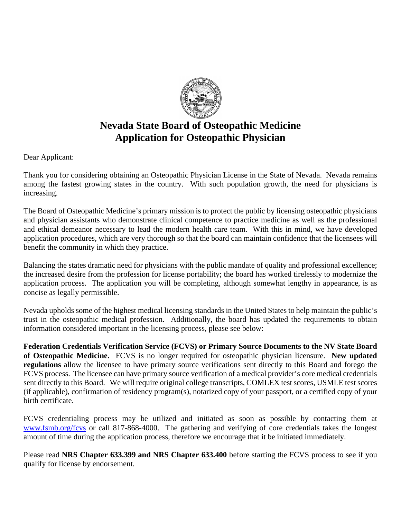

# **Nevada State Board of Osteopathic Medicine Application for Osteopathic Physician**

Dear Applicant:

Thank you for considering obtaining an Osteopathic Physician License in the State of Nevada. Nevada remains among the fastest growing states in the country. With such population growth, the need for physicians is increasing.

The Board of Osteopathic Medicine's primary mission is to protect the public by licensing osteopathic physicians and physician assistants who demonstrate clinical competence to practice medicine as well as the professional and ethical demeanor necessary to lead the modern health care team. With this in mind, we have developed application procedures, which are very thorough so that the board can maintain confidence that the licensees will benefit the community in which they practice.

Balancing the states dramatic need for physicians with the public mandate of quality and professional excellence; the increased desire from the profession for license portability; the board has worked tirelessly to modernize the application process. The application you will be completing, although somewhat lengthy in appearance, is as concise as legally permissible.

Nevada upholds some of the highest medical licensing standards in the United States to help maintain the public's trust in the osteopathic medical profession. Additionally, the board has updated the requirements to obtain information considered important in the licensing process, please see below:

**Federation Credentials Verification Service (FCVS) or Primary Source Documents to the NV State Board of Osteopathic Medicine.** FCVS is no longer required for osteopathic physician licensure. **New updated regulations** allow the licensee to have primary source verifications sent directly to this Board and forego the FCVS process. The licensee can have primary source verification of a medical provider's core medical credentials sent directly to this Board. We will require original college transcripts, COMLEX test scores, USMLE test scores (if applicable), confirmation of residency program(s), notarized copy of your passport, or a certified copy of your birth certificate.

FCVS credentialing process may be utilized and initiated as soon as possible by contacting them at [www.fsmb.org/fcvs](http://www.fsmb.org/fcvs) or call 817-868-4000. The gathering and verifying of core credentials takes the longest amount of time during the application process, therefore we encourage that it be initiated immediately.

Please read **NRS Chapter 633.399 and NRS Chapter 633.400** before starting the FCVS process to see if you qualify for license by endorsement.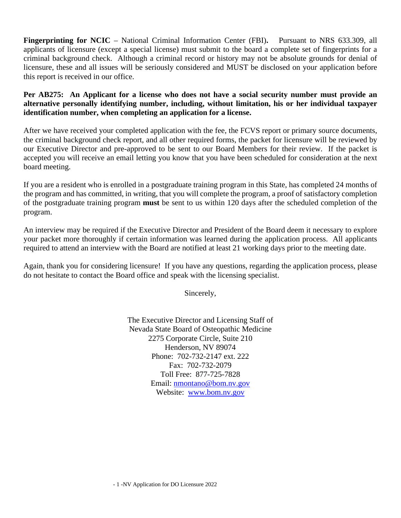**Fingerprinting for NCIC** – National Criminal Information Center (FBI)**.** Pursuant to NRS 633.309, all applicants of licensure (except a special license) must submit to the board a complete set of fingerprints for a criminal background check. Although a criminal record or history may not be absolute grounds for denial of licensure, these and all issues will be seriously considered and MUST be disclosed on your application before this report is received in our office.

**Per AB275: An Applicant for a license who does not have a social security number must provide an alternative personally identifying number, including, without limitation, his or her individual taxpayer identification number, when completing an application for a license.**

After we have received your completed application with the fee, the FCVS report or primary source documents, the criminal background check report, and all other required forms, the packet for licensure will be reviewed by our Executive Director and pre-approved to be sent to our Board Members for their review. If the packet is accepted you will receive an email letting you know that you have been scheduled for consideration at the next board meeting.

If you are a resident who is enrolled in a postgraduate training program in this State, has completed 24 months of the program and has committed, in writing, that you will complete the program, a proof of satisfactory completion of the postgraduate training program **must** be sent to us within 120 days after the scheduled completion of the program.

An interview may be required if the Executive Director and President of the Board deem it necessary to explore your packet more thoroughly if certain information was learned during the application process. All applicants required to attend an interview with the Board are notified at least 21 working days prior to the meeting date.

Again, thank you for considering licensure! If you have any questions, regarding the application process, please do not hesitate to contact the Board office and speak with the licensing specialist.

Sincerely,

The Executive Director and Licensing Staff of Nevada State Board of Osteopathic Medicine 2275 Corporate Circle, Suite 210 Henderson, NV 89074 Phone: 702-732-2147 ext. 222 Fax: 702-732-2079 Toll Free: 877-725-7828 Email: [nmontano@bom.nv.gov](mailto:nmontano@bom.nv.gov) Website: [www.bom.nv.gov](http://www.bom.nv.gov/)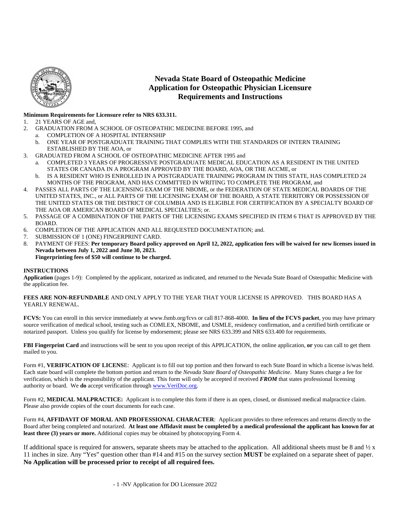

### **Nevada State Board of Osteopathic Medicine Application for Osteopathic Physician Licensure Requirements and Instructions**

#### **Minimum Requirements for Licensure refer to NRS 633.311.**

- 1. 21 YEARS OF AGE and,
- 2. GRADUATION FROM A SCHOOL OF OSTEOPATHIC MEDICINE BEFORE 1995, and
- a. COMPLETION OF A HOSPITAL INTERNSHIP
	- b. ONE YEAR OF POSTGRADUATE TRAINING THAT COMPLIES WITH THE STANDARDS OF INTERN TRAINING ESTABLISHED BY THE AOA, or
- 3. GRADUATED FROM A SCHOOL OF OSTEOPATHIC MEDICINE AFTER 1995 and
	- a. COMPLETED 3 YEARS OF PROGRESSIVE POSTGRADUATE MEDICAL EDUCATION AS A RESIDENT IN THE UNITED STATES OR CANADA IN A PROGRAM APPROVED BY THE BOARD, AOA, OR THE ACCME, or
	- b. IS A RESIDENT WHO IS ENROLLED IN A POSTGRADUATE TRAINING PROGRAM IN THIS STATE, HAS COMPLETED 24 MONTHS OF THE PROGRAM, AND HAS COMMITTED IN WRITING TO COMPLETE THE PROGRAM, and
- 4. PASSES ALL PARTS OF THE LICENSING EXAM OF THE NBOME, or the FEDERATION OF STATE MEDICAL BOARDS OF THE UNITED STATES, INC., or ALL PARTS OF THE LICENSING EXAM OF THE BOARD, A STATE TERRITORY OR POSSESSION OF THE UNITED STATES OR THE DISTRICT OF COLUMBIA AND IS ELIGIBLE FOR CERTIFICATION BY A SPECIALTY BOARD OF THE AOA OR AMERICAN BOARD OF MEDICAL SPECIALTIES; or.
- 5. PASSAGE OF A COMBINATION OF THE PARTS OF THE LICENSING EXAMS SPECIFIED IN ITEM 6 THAT IS APPROVED BY THE BOARD.
- 6. COMPLETION OF THE APPLICATION AND ALL REQUESTED DOCUMENTATION; and.
- 7. SUBMISSION OF 1 (ONE) FINGERPRINT CARD.
- 8. PAYMENT OF FEES: **Per temporary Board policy approved on April 12, 2022, application fees will be waived for new licenses issued in Nevada between July 1, 2022 and June 30, 2023. Fingerprinting fees of \$50 will continue to be charged.**

#### **INSTRUCTIONS**

**Application** (pages 1-9): Completed by the applicant, notarized as indicated, and returned to the Nevada State Board of Osteopathic Medicine with the application fee*.*

#### **FEES ARE NON-REFUNDABLE** AND ONLY APPLY TO THE YEAR THAT YOUR LICENSE IS APPROVED. THIS BOARD HAS A YEARLY RENEWAL.

**FCVS:** You can enroll in this service immediately at www.fsmb.org/fcvs or call 817-868-4000. **In lieu of the FCVS packet**, you may have primary source verification of medical school, testing such as COMLEX, NBOME, and USMLE, residency confirmation, and a certified birth certificate or notarized passport. Unless you qualify for license by endorsement; please see NRS 633.399 and NRS 633.400 for requirements.

**FBI Fingerprint Card** and instructions will be sent to you upon receipt of this APPLICATION, the online application, **or** you can call to get them mailed to you.

Form #1, **VERIFICATION OF LICENS**E: Applicant is to fill out top portion and then forward to each State Board in which a license is/was held. Each state board will complete the bottom portion and return to the *Nevada State Board of Osteopathic Medicine*. Many States charge a fee for verification, which is the responsibility of the applicant. This form will only be accepted if received *FROM* that states professional licensing authority or board. We **do** accept verification throug[h www.VeriDoc.org.](http://www.veridoc.org/) 

Form #2, **MEDICAL MALPRACTICE:** Applicant is to complete this form if there is an open, closed, or dismissed medical malpractice claim. Please also provide copies of the court documents for each case.

Form #4, **AFFIDAVIT OF MORAL AND PROFESSIONAL CHARACTER**: Applicant provides to three references and returns directly to the Board after being completed and notarized. **At least one Affidavit must be completed by a medical professional the applicant has known for at least three (3) years or more.** Additional copies may be obtained by photocopying Form 4.

If additional space is required for answers, separate sheets may be attached to the application. All additional sheets must be 8 and  $\frac{1}{2}x$ 11 inches in size. Any "Yes" question other than #14 and #15 on the survey section **MUST** be explained on a separate sheet of paper. **No Application will be processed prior to receipt of all required fees.**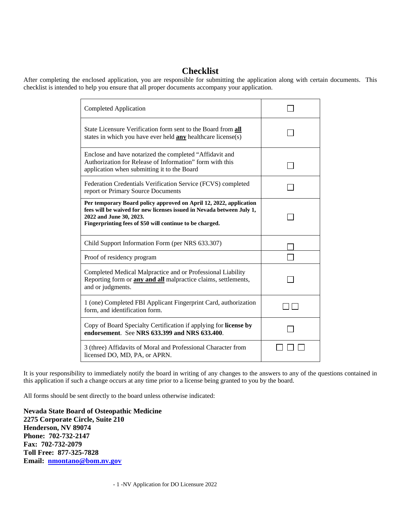# **Checklist**

After completing the enclosed application, you are responsible for submitting the application along with certain documents. This checklist is intended to help you ensure that all proper documents accompany your application.

| Completed Application                                                                                                                                                                                                              |  |
|------------------------------------------------------------------------------------------------------------------------------------------------------------------------------------------------------------------------------------|--|
| State Licensure Verification form sent to the Board from all<br>states in which you have ever held <b>any</b> healthcare license(s)                                                                                                |  |
| Enclose and have notarized the completed "Affidavit and<br>Authorization for Release of Information" form with this<br>application when submitting it to the Board                                                                 |  |
| Federation Credentials Verification Service (FCVS) completed<br>report or Primary Source Documents                                                                                                                                 |  |
| Per temporary Board policy approved on April 12, 2022, application<br>fees will be waived for new licenses issued in Nevada between July 1,<br>2022 and June 30, 2023.<br>Fingerprinting fees of \$50 will continue to be charged. |  |
| Child Support Information Form (per NRS 633.307)                                                                                                                                                                                   |  |
| Proof of residency program                                                                                                                                                                                                         |  |
| Completed Medical Malpractice and or Professional Liability<br>Reporting form or <b>any and all</b> malpractice claims, settlements,<br>and or judgments.                                                                          |  |
| 1 (one) Completed FBI Applicant Fingerprint Card, authorization<br>form, and identification form.                                                                                                                                  |  |
| Copy of Board Specialty Certification if applying for license by<br>endorsement. See NRS 633.399 and NRS 633.400.                                                                                                                  |  |
| 3 (three) Affidavits of Moral and Professional Character from<br>licensed DO, MD, PA, or APRN.                                                                                                                                     |  |

It is your responsibility to immediately notify the board in writing of any changes to the answers to any of the questions contained in this application if such a change occurs at any time prior to a license being granted to you by the board.

All forms should be sent directly to the board unless otherwise indicated:

**Nevada State Board of Osteopathic Medicine 2275 Corporate Circle, Suite 210 Henderson, NV 89074 Phone: 702-732-2147 Fax: 702-732-2079 Toll Free: 877-325-7828 Email: [nmontano@bom.nv.gov](mailto:nmontano@bom.nv.gov)**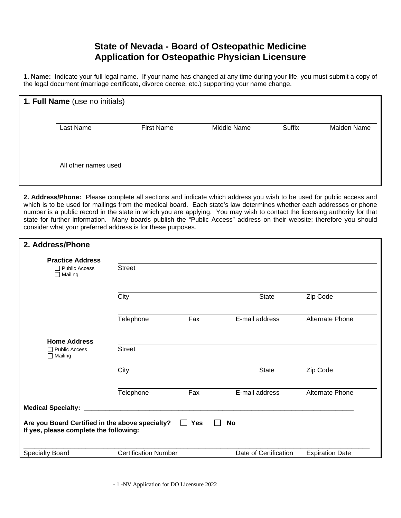# **State of Nevada - Board of Osteopathic Medicine Application for Osteopathic Physician Licensure**

**1. Name:** Indicate your full legal name. If your name has changed at any time during your life, you must submit a copy of the legal document (marriage certificate, divorce decree, etc.) supporting your name change.

| 1. Full Name (use no initials) |                   |             |               |             |
|--------------------------------|-------------------|-------------|---------------|-------------|
| Last Name                      | <b>First Name</b> | Middle Name | <b>Suffix</b> | Maiden Name |
| All other names used           |                   |             |               |             |

**2. Address/Phone:** Please complete all sections and indicate which address you wish to be used for public access and which is to be used for mailings from the medical board. Each state's law determines whether each addresses or phone number is a public record in the state in which you are applying. You may wish to contact the licensing authority for that state for further information. Many boards publish the "Public Access" address on their website; therefore you should consider what your preferred address is for these purposes.

| 2. Address/Phone                                                                                                                     |                             |     |                       |                        |  |
|--------------------------------------------------------------------------------------------------------------------------------------|-----------------------------|-----|-----------------------|------------------------|--|
| <b>Practice Address</b>                                                                                                              |                             |     |                       |                        |  |
| $\Box$ Public Access<br>$\Box$ Mailing                                                                                               | <b>Street</b>               |     |                       |                        |  |
|                                                                                                                                      | City                        |     | <b>State</b>          | Zip Code               |  |
|                                                                                                                                      | Telephone                   | Fax | E-mail address        | <b>Alternate Phone</b> |  |
| <b>Home Address</b><br>$\Box$ Public Access                                                                                          | <b>Street</b>               |     |                       |                        |  |
| $\Box$ Mailing                                                                                                                       |                             |     |                       |                        |  |
|                                                                                                                                      | City                        |     | <b>State</b>          | Zip Code               |  |
|                                                                                                                                      | Telephone                   | Fax | E-mail address        | <b>Alternate Phone</b> |  |
| <b>Medical Specialty:</b>                                                                                                            |                             |     |                       |                        |  |
| Are you Board Certified in the above specialty?<br><b>Yes</b><br><b>No</b><br>$\mathbf{I}$<br>If yes, please complete the following: |                             |     |                       |                        |  |
| <b>Specialty Board</b>                                                                                                               | <b>Certification Number</b> |     | Date of Certification | <b>Expiration Date</b> |  |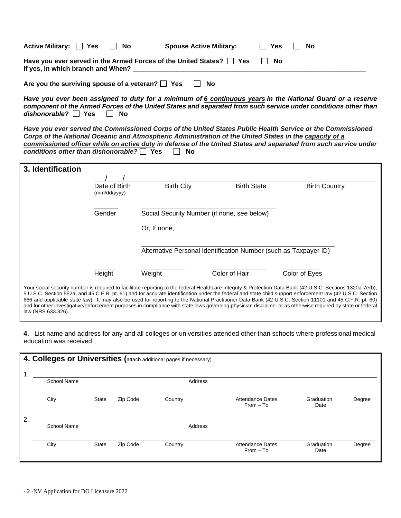| Active Military: □ Yes            | II No | <b>Spouse Active Military:</b>                                            | ∣ I Yes | - No |
|-----------------------------------|-------|---------------------------------------------------------------------------|---------|------|
| If yes, in which branch and When? |       | Have you ever served in the Armed Forces of the United States? $\Box$ Yes | No      |      |
|                                   |       |                                                                           |         |      |

Are you the surviving spouse of a veteran? **Fig. Yes** Fig. No

*Have you ever been assigned to duty for a minimum of 6 continuous years in the National Guard or a reserve component of the Armed Forces of the United States and separated from such service under conditions other than dishonorable?* □ Yes □ No

*Have you ever served the Commissioned Corps of the United States Public Health Service or the Commissioned Corps of the National Oceanic and Atmospheric Administration of the United States in the capacity of a commissioned officer while on active duty in defense of the United States and separated from such service under conditions other than dishonorable?* Yes □ No

| 3. Identification  |                               |                   |                                                                  |                                                                                                                                                                                                                                                                                                                                                                                                                                                                                                                                                                                                                                                  |
|--------------------|-------------------------------|-------------------|------------------------------------------------------------------|--------------------------------------------------------------------------------------------------------------------------------------------------------------------------------------------------------------------------------------------------------------------------------------------------------------------------------------------------------------------------------------------------------------------------------------------------------------------------------------------------------------------------------------------------------------------------------------------------------------------------------------------------|
|                    |                               |                   |                                                                  |                                                                                                                                                                                                                                                                                                                                                                                                                                                                                                                                                                                                                                                  |
|                    | Date of Birth<br>(mm/dd/yyyy) | <b>Birth City</b> | <b>Birth State</b>                                               | <b>Birth Country</b>                                                                                                                                                                                                                                                                                                                                                                                                                                                                                                                                                                                                                             |
|                    | Gender                        |                   | Social Security Number (if none, see below)                      |                                                                                                                                                                                                                                                                                                                                                                                                                                                                                                                                                                                                                                                  |
|                    |                               | Or, If none,      |                                                                  |                                                                                                                                                                                                                                                                                                                                                                                                                                                                                                                                                                                                                                                  |
|                    |                               |                   | Alternative Personal Identification Number (such as Taxpayer ID) |                                                                                                                                                                                                                                                                                                                                                                                                                                                                                                                                                                                                                                                  |
|                    | Height                        | Weight            | Color of Hair                                                    | Color of Eyes                                                                                                                                                                                                                                                                                                                                                                                                                                                                                                                                                                                                                                    |
| law (NRS 633.326). |                               |                   |                                                                  | Your social security number is required to facilitate reporting to the federal Healthcare Integrity & Protection Data Bank (42 U.S.C. Sections 1320a-7e(b),<br>5 U.S.C. Section 552a, and 45 C.F.R. pt. 61) and for accurate identification under the federal and state child support enforcement law (42 U.S.C. Section<br>666 and applicable state law). It may also be used for reporting to the National Practitioner Data Bank (42 U.S.C. Section 11101 and 45 C.F.R. pt. 60)<br>and for other investigative/enforcement purposes in compliance with state laws governing physician discipline or as otherwise required by state or federal |

**4.** List name and address for any and all colleges or universities attended other than schools where professional medical education was received.

|   | 4. Colleges or Universities (attach additional pages if necessary) |       |          |         |                                        |                    |        |  |
|---|--------------------------------------------------------------------|-------|----------|---------|----------------------------------------|--------------------|--------|--|
| 1 | <b>School Name</b>                                                 |       |          | Address |                                        |                    |        |  |
|   | City                                                               | State | Zip Code | Country | <b>Attendance Dates</b><br>$From - To$ | Graduation<br>Date | Degree |  |
| 2 | <b>School Name</b>                                                 |       |          | Address |                                        |                    |        |  |
|   | City                                                               | State | Zip Code | Country | <b>Attendance Dates</b><br>$From - To$ | Graduation<br>Date | Degree |  |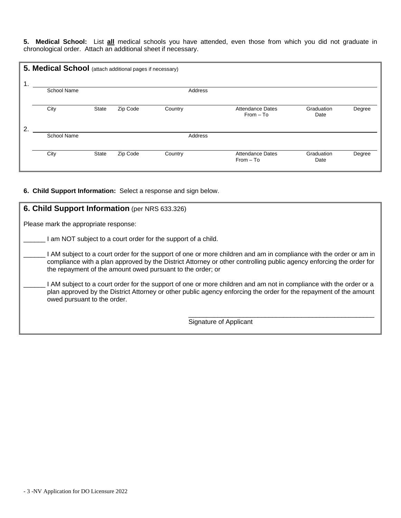**5. Medical School:** List **all** medical schools you have attended, even those from which you did not graduate in chronological order. Attach an additional sheet if necessary.

| $\overline{1}$ . | 5. Medical School (attach additional pages if necessary) |              |          |         |                                        |                    |        |
|------------------|----------------------------------------------------------|--------------|----------|---------|----------------------------------------|--------------------|--------|
|                  | <b>School Name</b>                                       |              |          |         | Address                                |                    |        |
|                  | City                                                     | <b>State</b> | Zip Code | Country | Attendance Dates<br>$From - To$        | Graduation<br>Date | Degree |
| $\mathbf{2}$     |                                                          |              |          |         |                                        |                    |        |
|                  | <b>School Name</b>                                       |              |          |         | Address                                |                    |        |
|                  | City                                                     | <b>State</b> | Zip Code | Country | <b>Attendance Dates</b><br>$From - To$ | Graduation<br>Date | Degree |

### **6. Child Support Information:** Select a response and sign below.

| 6. Child Support Information (per NRS 633.326)                                                                                                                                                                                                                                                        |
|-------------------------------------------------------------------------------------------------------------------------------------------------------------------------------------------------------------------------------------------------------------------------------------------------------|
| Please mark the appropriate response:                                                                                                                                                                                                                                                                 |
| am NOT subject to a court order for the support of a child.                                                                                                                                                                                                                                           |
| AM subject to a court order for the support of one or more children and am in compliance with the order or am in<br>compliance with a plan approved by the District Attorney or other controlling public agency enforcing the order for<br>the repayment of the amount owed pursuant to the order; or |
| AM subject to a court order for the support of one or more children and am not in compliance with the order or a<br>plan approved by the District Attorney or other public agency enforcing the order for the repayment of the amount<br>owed pursuant to the order.                                  |
| Signature of Applicant                                                                                                                                                                                                                                                                                |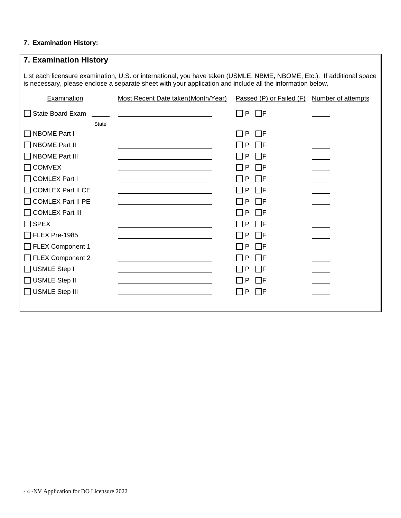## **7. Examination History:**

| 7. Examination History                                                                                                                                                                                                               |                                                                                                                      |                          |                    |  |  |  |
|--------------------------------------------------------------------------------------------------------------------------------------------------------------------------------------------------------------------------------------|----------------------------------------------------------------------------------------------------------------------|--------------------------|--------------------|--|--|--|
| List each licensure examination, U.S. or international, you have taken (USMLE, NBME, NBOME, Etc.). If additional space<br>is necessary, please enclose a separate sheet with your application and include all the information below. |                                                                                                                      |                          |                    |  |  |  |
| Examination                                                                                                                                                                                                                          | Most Recent Date taken (Month/Year)                                                                                  | Passed (P) or Failed (F) | Number of attempts |  |  |  |
| <b>State Board Exam</b>                                                                                                                                                                                                              | the contract of the contract of the contract of the contract of the contract of                                      | $\Box$ p $\Box$ f        |                    |  |  |  |
| <b>State</b>                                                                                                                                                                                                                         |                                                                                                                      |                          |                    |  |  |  |
| NBOME Part I                                                                                                                                                                                                                         |                                                                                                                      | P<br><b>TE</b>           |                    |  |  |  |
| <b>NBOME Part II</b>                                                                                                                                                                                                                 |                                                                                                                      | P<br>l IF                |                    |  |  |  |
| □ NBOME Part III                                                                                                                                                                                                                     |                                                                                                                      | P<br>l IF                |                    |  |  |  |
| <b>COMVEX</b>                                                                                                                                                                                                                        |                                                                                                                      | P<br>- IF                |                    |  |  |  |
| <b>COMLEX Part I</b>                                                                                                                                                                                                                 |                                                                                                                      | P<br>l IF                |                    |  |  |  |
| <b>COMLEX Part II CE</b>                                                                                                                                                                                                             |                                                                                                                      | P<br>- IF                |                    |  |  |  |
| <b>COMLEX Part II PE</b>                                                                                                                                                                                                             | <u> 1989 - Johann Stein, mars an dùthchan an t-Alban ann an t-Alban ann an t-Alban ann an t-Alban ann an t-Alban</u> | P<br>- IF                |                    |  |  |  |
| <b>COMLEX Part III</b>                                                                                                                                                                                                               |                                                                                                                      | P<br>- IF                |                    |  |  |  |
| $\sqcap$ SPEX                                                                                                                                                                                                                        |                                                                                                                      | P<br>l IF                |                    |  |  |  |
| $\overline{\phantom{1}}$ FLEX Pre-1985                                                                                                                                                                                               |                                                                                                                      | P<br>l IF                |                    |  |  |  |
| FLEX Component 1                                                                                                                                                                                                                     |                                                                                                                      | P<br>- IF                |                    |  |  |  |
| $\Box$ FLEX Component 2                                                                                                                                                                                                              |                                                                                                                      | P<br>l IF                |                    |  |  |  |
| $\Box$ USMLE Step I                                                                                                                                                                                                                  |                                                                                                                      | P<br>- IF                |                    |  |  |  |
| $\Box$ USMLE Step II                                                                                                                                                                                                                 |                                                                                                                      | P<br>- IF                |                    |  |  |  |
| USMLE Step III                                                                                                                                                                                                                       |                                                                                                                      | P<br>- IF                |                    |  |  |  |
|                                                                                                                                                                                                                                      |                                                                                                                      |                          |                    |  |  |  |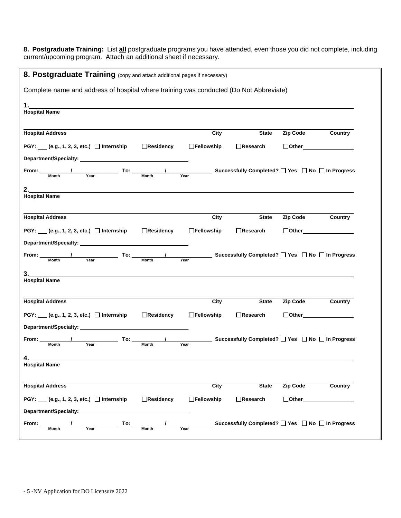**8. Postgraduate Training:** List **all** postgraduate programs you have attended, even those you did not complete, including current/upcoming program. Attach an additional sheet if necessary.

| 8. Postgraduate Training (copy and attach additional pages if necessary)                           |            |                   |              |                                                          |         |
|----------------------------------------------------------------------------------------------------|------------|-------------------|--------------|----------------------------------------------------------|---------|
| Complete name and address of hospital where training was conducted (Do Not Abbreviate)             |            |                   |              |                                                          |         |
| <b>Hospital Name</b>                                                                               |            |                   |              |                                                          |         |
| <b>Hospital Address</b>                                                                            |            | City              | <b>State</b> | <b>Zip Code</b>                                          | Country |
| PGY: ___ (e.g., 1, 2, 3, etc.) □ Internship                                                        | Residency  | □Fellowship       | □Research    | □Other________________                                   |         |
|                                                                                                    |            |                   |              |                                                          |         |
| From: Month<br>Year<br><b>Month</b>                                                                | Year       |                   |              | <b>_Successfully Completed?</b> □ Yes □ No □ In Progress |         |
| <b>Hospital Name</b>                                                                               |            |                   |              |                                                          |         |
| <b>Hospital Address</b>                                                                            |            | City              | <b>State</b> | <b>Zip Code</b>                                          | Country |
|                                                                                                    |            |                   |              | $\Box$ Other $\Box$                                      |         |
|                                                                                                    |            |                   |              |                                                          |         |
| PGY: ___ (e.g., 1, 2, 3, etc.) □ Internship                                                        | □Residency | <b>Fellowship</b> | Research     |                                                          |         |
| Department/Specialty: _____________<br>From: <b>Action</b><br>Year<br><b>Month</b><br><b>Month</b> | Year       |                   |              | <b>Successfully Completed?</b> □ Yes □ No □ In Progress  |         |
| 3.<br><b>Hospital Name</b>                                                                         |            |                   |              |                                                          |         |
|                                                                                                    |            |                   |              |                                                          |         |
| <b>Hospital Address</b>                                                                            |            | City              | <b>State</b> | <b>Zip Code</b>                                          | Country |
| PGY: $(e.g., 1, 2, 3, etc.)$ Internship                                                            | Residency  | □Fellowship       | □Research    | □Other_______________                                    |         |
| Department/Specialty: ___________                                                                  |            |                   |              |                                                          |         |
| To:<br>From:<br><b>Month</b><br>Year<br>Month                                                      | Year       |                   |              | Successfully Completed? □ Yes □ No □ In Progress         |         |
| 4.                                                                                                 |            |                   |              |                                                          |         |
| <b>Hospital Name</b>                                                                               |            |                   |              |                                                          |         |
| <b>Hospital Address</b>                                                                            |            | City              | <b>State</b> | Zip Code                                                 | Country |
| PGY: $(e.g., 1, 2, 3, etc.)$ Internship                                                            | □Residency | □Fellowship       | □Research    | $\Box$ Other $\_$                                        |         |
| Department/Specialty: __________                                                                   |            |                   |              |                                                          |         |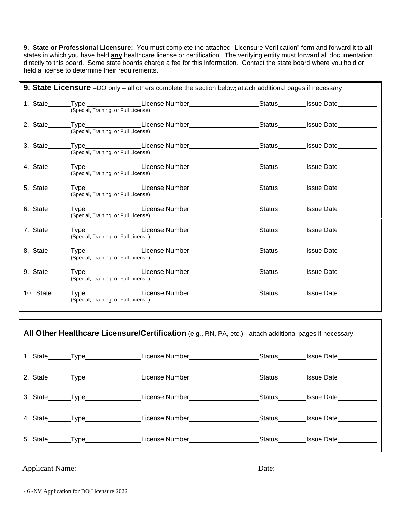**9. State or Professional Licensure:** You must complete the attached "Licensure Verification" form and forward it to **all** states in which you have held **any** healthcare license or certification. The verifying entity must forward all documentation directly to this board. Some state boards charge a fee for this information. Contact the state board where you hold or held a license to determine their requirements.

| <b>9. State Licensure</b> -DO only - all others complete the section below; attach additional pages if necessary |                                      |                                                                                                                |  |  |  |
|------------------------------------------------------------------------------------------------------------------|--------------------------------------|----------------------------------------------------------------------------------------------------------------|--|--|--|
|                                                                                                                  | (Special, Training, or Full License) | 1. State_______Type _________________License Number______________________Status_________Issue Date_________    |  |  |  |
|                                                                                                                  | (Special, Training, or Full License) | 2. State_______Type__________________License Number______________________Status_________Issue Date___________  |  |  |  |
|                                                                                                                  | (Special, Training, or Full License) | 3. State Type Type License Number Status Status Issue Date                                                     |  |  |  |
|                                                                                                                  | (Special, Training, or Full License) | 4. State_______Type__________________License Number___________________Status_________Issue Date___________     |  |  |  |
|                                                                                                                  | (Special, Training, or Full License) | 5. State_______Type____________________License Number___________________________Status_________Issue Date_____ |  |  |  |
|                                                                                                                  | (Special, Training, or Full License) | 6. State_______Type_________________License Number____________________Status________Issue Date______           |  |  |  |
|                                                                                                                  | (Special, Training, or Full License) | 7. State_______Type__________________License Number______________________Status_________Issue Date___________  |  |  |  |
|                                                                                                                  | (Special, Training, or Full License) | 8. State_______Type__________________License Number______________________Status_________Issue Date____________ |  |  |  |
|                                                                                                                  | (Special, Training, or Full License) | 9. State Type License Number Status Status Status Status Status Status Status Status State                     |  |  |  |
|                                                                                                                  | (Special, Training, or Full License) | 10. State Type License Number Status Status Issue Date                                                         |  |  |  |

|  | All Other Healthcare Licensure/Certification (e.g., RN, PA, etc.) - attach additional pages if necessary. |                   |
|--|-----------------------------------------------------------------------------------------------------------|-------------------|
|  | 1. State _______Type ___________________License Number _________________________                          | Status Issue Date |
|  | 2. State _______Type ____________________License Number ________________________                          | Status Issue Date |
|  | 3. State Type License Number                                                                              | Status Issue Date |
|  | 4. State Type Christian License Number                                                                    | Status Issue Date |
|  | 5. State_______Type_________________License Number______________________________                          | Status Issue Date |

Applicant Name: Date:

- 6 -NV Application for DO Licensure 2022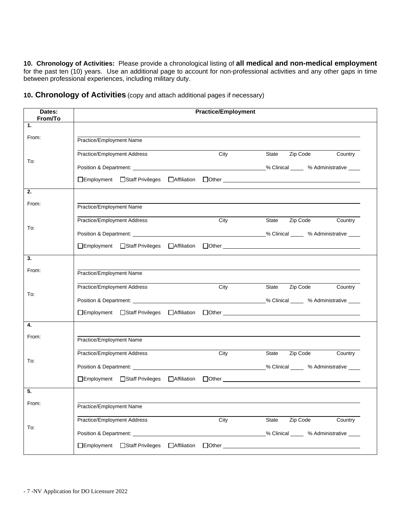**10. Chronology of Activities:** Please provide a chronological listing of **all medical and non-medical employment** for the past ten (10) years. Use an additional page to account for non-professional activities and any other gaps in time between professional experiences, including military duty.

| Dates:<br>From/To | <b>Practice/Employment</b>                                            |                                        |  |  |  |
|-------------------|-----------------------------------------------------------------------|----------------------------------------|--|--|--|
| 1.                |                                                                       |                                        |  |  |  |
| From:             | Practice/Employment Name                                              |                                        |  |  |  |
|                   | Practice/Employment Address                                           | City<br>State<br>Zip Code<br>Country   |  |  |  |
| To:               |                                                                       |                                        |  |  |  |
|                   |                                                                       |                                        |  |  |  |
| 2.                |                                                                       |                                        |  |  |  |
| From:             | Practice/Employment Name                                              |                                        |  |  |  |
|                   | Practice/Employment Address                                           | City<br>State Zip Code Country         |  |  |  |
| To:               |                                                                       |                                        |  |  |  |
|                   | □Employment □Staff Privileges □Affiliation □Other                     |                                        |  |  |  |
| 3.                |                                                                       |                                        |  |  |  |
| From:             | Practice/Employment Name                                              |                                        |  |  |  |
|                   | Practice/Employment Address                                           | Zip Code<br>City<br>State<br>Country   |  |  |  |
| To:               |                                                                       |                                        |  |  |  |
|                   | □Employment □Staff Privileges □Affiliation □Other                     |                                        |  |  |  |
| 4.                |                                                                       |                                        |  |  |  |
| From:             | Practice/Employment Name                                              |                                        |  |  |  |
|                   | Practice/Employment Address                                           | City<br>State    Zip Code<br>Country   |  |  |  |
| To:               |                                                                       |                                        |  |  |  |
|                   |                                                                       |                                        |  |  |  |
| 5.                |                                                                       |                                        |  |  |  |
| From:             | Practice/Employment Name                                              |                                        |  |  |  |
|                   | Practice/Employment Address                                           | Zip Code<br>City<br>State<br>Country   |  |  |  |
| To:               |                                                                       | % Clinical _____ % Administrative ____ |  |  |  |
|                   | □Employment<br>□Staff Privileges<br>□Affiliation<br>$\Box$ Other $\_$ |                                        |  |  |  |

**10. Chronology of Activities** (copy and attach additional pages if necessary)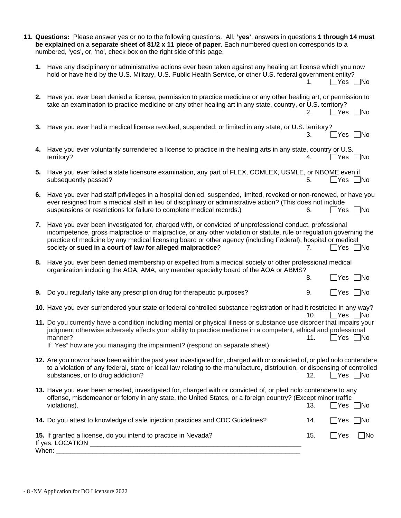|    | 11. Questions: Please answer yes or no to the following questions. All, 'yes', answers in questions 1 through 14 must<br>be explained on a separate sheet of 81/2 x 11 piece of paper. Each numbered question corresponds to a<br>numbered, 'yes', or, 'no', check box on the right side of this page.                                                                                                                                                      |            |                                              |           |
|----|-------------------------------------------------------------------------------------------------------------------------------------------------------------------------------------------------------------------------------------------------------------------------------------------------------------------------------------------------------------------------------------------------------------------------------------------------------------|------------|----------------------------------------------|-----------|
|    | 1. Have any disciplinary or administrative actions ever been taken against any healing art license which you now<br>hold or have held by the U.S. Military, U.S. Public Health Service, or other U.S. federal government entity?                                                                                                                                                                                                                            | 1.         | ∐Yes ∐No                                     |           |
|    | 2. Have you ever been denied a license, permission to practice medicine or any other healing art, or permission to<br>take an examination to practice medicine or any other healing art in any state, country, or U.S. territory?                                                                                                                                                                                                                           | 2.         | $\Box$ Yes $\Box$ No                         |           |
|    | 3. Have you ever had a medical license revoked, suspended, or limited in any state, or U.S. territory?                                                                                                                                                                                                                                                                                                                                                      | 3.         | _Yes □No                                     |           |
|    | 4. Have you ever voluntarily surrendered a license to practice in the healing arts in any state, country or U.S.<br>territory?                                                                                                                                                                                                                                                                                                                              | 4.         | ∏Yes ∏No                                     |           |
|    | 5. Have you ever failed a state licensure examination, any part of FLEX, COMLEX, USMLE, or NBOME even if<br>subsequently passed?                                                                                                                                                                                                                                                                                                                            | 5.         | Yes   No                                     |           |
|    | 6. Have you ever had staff privileges in a hospital denied, suspended, limited, revoked or non-renewed, or have you<br>ever resigned from a medical staff in lieu of disciplinary or administrative action? (This does not include<br>suspensions or restrictions for failure to complete medical records.)                                                                                                                                                 | 6.         | $\Box$ Yes $\Box$ No                         |           |
| 7. | Have you ever been investigated for, charged with, or convicted of unprofessional conduct, professional<br>incompetence, gross malpractice or malpractice, or any other violation or statute, rule or regulation governing the<br>practice of medicine by any medical licensing board or other agency (including Federal), hospital or medical<br>society or sued in a court of law for alleged malpractice?                                                | 7.         | $\Box$ Yes                                   | No        |
|    | 8. Have you ever been denied membership or expelled from a medical society or other professional medical<br>organization including the AOA, AMA, any member specialty board of the AOA or ABMS?                                                                                                                                                                                                                                                             | 8.         | $\Box$ Yes $\Box$ No                         |           |
|    | 9. Do you regularly take any prescription drug for therapeutic purposes?                                                                                                                                                                                                                                                                                                                                                                                    | 9.         | $\Box$ Yes $\Box$ No                         |           |
|    | 10. Have you ever surrendered your state or federal controlled substance registration or had it restricted in any way?<br>11. Do you currently have a condition including mental or physical illness or substance use disorder that impairs your<br>judgment otherwise adversely affects your ability to practice medicine in a competent, ethical and professional<br>manner?<br>If "Yes" how are you managing the impairment? (respond on separate sheet) | 10.<br>11. | $\Box$ Yes $\Box$ No<br>$\Box$ Yes $\Box$ No |           |
|    | 12. Are you now or have been within the past year investigated for, charged with or convicted of, or pled nolo contendere<br>to a violation of any federal, state or local law relating to the manufacture, distribution, or dispensing of controlled<br>substances, or to drug addiction?                                                                                                                                                                  | 12.        | $\Box$ Yes $\Box$ No                         |           |
|    | 13. Have you ever been arrested, investigated for, charged with or convicted of, or pled nolo contendere to any<br>offense, misdemeanor or felony in any state, the United States, or a foreign country? (Except minor traffic<br>violations).                                                                                                                                                                                                              | 13.        | $\Box$ Yes $\Box$ No                         |           |
|    | 14. Do you attest to knowledge of safe injection practices and CDC Guidelines?                                                                                                                                                                                                                                                                                                                                                                              | 14.        | ∐Yes                                         | - INo     |
|    | 15. If granted a license, do you intend to practice in Nevada?                                                                                                                                                                                                                                                                                                                                                                                              | 15.        | $\Box$ Yes                                   | $\Box$ No |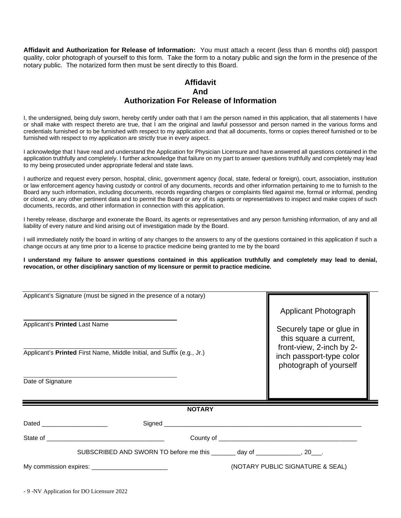**Affidavit and Authorization for Release of Information:** You must attach a recent (less than 6 months old) passport quality, color photograph of yourself to this form. Take the form to a notary public and sign the form in the presence of the notary public. The notarized form then must be sent directly to this Board.

### **Affidavit And Authorization For Release of Information**

I, the undersigned, being duly sworn, hereby certify under oath that I am the person named in this application, that all statements I have or shall make with respect thereto are true, that I am the original and lawful possessor and person named in the various forms and credentials furnished or to be furnished with respect to my application and that all documents, forms or copies thereof furnished or to be furnished with respect to my application are strictly true in every aspect.

I acknowledge that I have read and understand the Application for Physician Licensure and have answered all questions contained in the application truthfully and completely. I further acknowledge that failure on my part to answer questions truthfully and completely may lead to my being prosecuted under appropriate federal and state laws.

I authorize and request every person, hospital, clinic, government agency (local, state, federal or foreign), court, association, institution or law enforcement agency having custody or control of any documents, records and other information pertaining to me to furnish to the Board any such information, including documents, records regarding charges or complaints filed against me, formal or informal, pending or closed, or any other pertinent data and to permit the Board or any of its agents or representatives to inspect and make copies of such documents, records, and other information in connection with this application.

I hereby release, discharge and exonerate the Board, its agents or representatives and any person furnishing information, of any and all liability of every nature and kind arising out of investigation made by the Board.

I will immediately notify the board in writing of any changes to the answers to any of the questions contained in this application if such a change occurs at any time prior to a license to practice medicine being granted to me by the board

#### **I understand my failure to answer questions contained in this application truthfully and completely may lead to denial, revocation, or other disciplinary sanction of my licensure or permit to practice medicine.**

| Applicant's Signature (must be signed in the presence of a notary)                                                                                                                                                                   |                                                                                |               |  |                                                    |  |
|--------------------------------------------------------------------------------------------------------------------------------------------------------------------------------------------------------------------------------------|--------------------------------------------------------------------------------|---------------|--|----------------------------------------------------|--|
|                                                                                                                                                                                                                                      |                                                                                |               |  | Applicant Photograph                               |  |
| Applicant's Printed Last Name                                                                                                                                                                                                        |                                                                                |               |  | Securely tape or glue in<br>this square a current, |  |
| Applicant's Printed First Name, Middle Initial, and Suffix (e.g., Jr.)                                                                                                                                                               | front-view, 2-inch by 2-<br>inch passport-type color<br>photograph of yourself |               |  |                                                    |  |
| Date of Signature                                                                                                                                                                                                                    |                                                                                |               |  |                                                    |  |
|                                                                                                                                                                                                                                      |                                                                                | <b>NOTARY</b> |  |                                                    |  |
| Dated <b>Dates and Contract Contract Contract Contract Contract Contract Contract Contract Contract Contract Contract Contract Contract Contract Contract Contract Contract Contract Contract Contract Contract Contract Contrac</b> |                                                                                |               |  |                                                    |  |
|                                                                                                                                                                                                                                      |                                                                                |               |  |                                                    |  |
|                                                                                                                                                                                                                                      | SUBSCRIBED AND SWORN TO before me this ________ day of ______________, 20___.  |               |  |                                                    |  |
|                                                                                                                                                                                                                                      |                                                                                |               |  | (NOTARY PUBLIC SIGNATURE & SEAL)                   |  |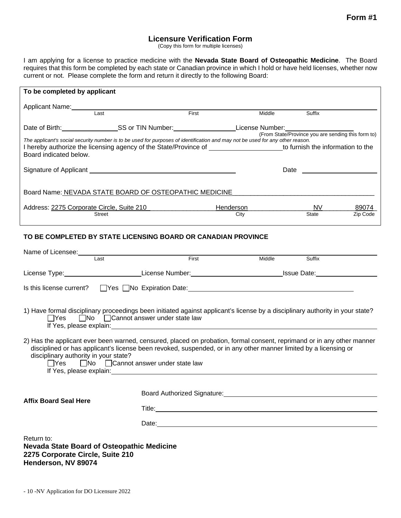### **Licensure Verification Form**

(Copy this form for multiple licenses)

I am applying for a license to practice medicine with the **Nevada State Board of Osteopathic Medicine**. The Board requires that this form be completed by each state or Canadian province in which I hold or have held licenses, whether now current or not. Please complete the form and return it directly to the following Board:

| To be completed by applicant                                                                                                                                                                                                               |                                                                                                                                                                                                                                                                                             |       |        |                                                    |          |  |
|--------------------------------------------------------------------------------------------------------------------------------------------------------------------------------------------------------------------------------------------|---------------------------------------------------------------------------------------------------------------------------------------------------------------------------------------------------------------------------------------------------------------------------------------------|-------|--------|----------------------------------------------------|----------|--|
| Applicant Name: Manneletter and the Applicant Name:                                                                                                                                                                                        |                                                                                                                                                                                                                                                                                             |       |        |                                                    |          |  |
| I ast                                                                                                                                                                                                                                      |                                                                                                                                                                                                                                                                                             | First | Middle | Suffix                                             |          |  |
| Date of Birth: SS or TIN Number: Cambridge Mumber: Category 2014                                                                                                                                                                           |                                                                                                                                                                                                                                                                                             |       |        |                                                    |          |  |
| The applicant's social security number is to be used for purposes of identification and may not be used for any other reason.                                                                                                              |                                                                                                                                                                                                                                                                                             |       |        | (From State/Province you are sending this form to) |          |  |
| I hereby authorize the licensing agency of the State/Province of ______________________to furnish the information to the                                                                                                                   |                                                                                                                                                                                                                                                                                             |       |        |                                                    |          |  |
| Board indicated below.                                                                                                                                                                                                                     |                                                                                                                                                                                                                                                                                             |       |        |                                                    |          |  |
|                                                                                                                                                                                                                                            |                                                                                                                                                                                                                                                                                             |       | Date   |                                                    |          |  |
|                                                                                                                                                                                                                                            |                                                                                                                                                                                                                                                                                             |       |        |                                                    |          |  |
| Board Name: NEVADA STATE BOARD OF OSTEOPATHIC MEDICINE NAMES AND RELEASED ON A STATE OF STATE RELEASED OF STATE OF STATE STATE OF STATE OF STATE STATE OF STATE STATE OF STATE OF STATE OF STATE STATE OF STATE OF STATE OF ST             |                                                                                                                                                                                                                                                                                             |       |        |                                                    |          |  |
|                                                                                                                                                                                                                                            |                                                                                                                                                                                                                                                                                             |       |        |                                                    |          |  |
| <b>Street</b>                                                                                                                                                                                                                              |                                                                                                                                                                                                                                                                                             | City  |        | State                                              | Zip Code |  |
|                                                                                                                                                                                                                                            |                                                                                                                                                                                                                                                                                             |       |        |                                                    |          |  |
| TO BE COMPLETED BY STATE LICENSING BOARD OR CANADIAN PROVINCE                                                                                                                                                                              |                                                                                                                                                                                                                                                                                             |       |        |                                                    |          |  |
|                                                                                                                                                                                                                                            |                                                                                                                                                                                                                                                                                             |       |        |                                                    |          |  |
| Name of Licensee:<br>Last                                                                                                                                                                                                                  |                                                                                                                                                                                                                                                                                             | First | Middle | Suffix                                             |          |  |
|                                                                                                                                                                                                                                            |                                                                                                                                                                                                                                                                                             |       |        |                                                    |          |  |
|                                                                                                                                                                                                                                            |                                                                                                                                                                                                                                                                                             |       |        |                                                    |          |  |
| Is this license current?                                                                                                                                                                                                                   |                                                                                                                                                                                                                                                                                             |       |        |                                                    |          |  |
|                                                                                                                                                                                                                                            |                                                                                                                                                                                                                                                                                             |       |        |                                                    |          |  |
| 1) Have formal disciplinary proceedings been initiated against applicant's license by a disciplinary authority in your state?                                                                                                              |                                                                                                                                                                                                                                                                                             |       |        |                                                    |          |  |
|                                                                                                                                                                                                                                            | $\Box$ Yes $\Box$ No $\Box$ Cannot answer under state law<br>If Yes, please explain: The state of the state of the state of the state of the state of the state of the state of the state of the state of the state of the state of the state of the state of the state of the state of the |       |        |                                                    |          |  |
|                                                                                                                                                                                                                                            |                                                                                                                                                                                                                                                                                             |       |        |                                                    |          |  |
| 2) Has the applicant ever been warned, censured, placed on probation, formal consent, reprimand or in any other manner<br>disciplined or has applicant's license been revoked, suspended, or in any other manner limited by a licensing or |                                                                                                                                                                                                                                                                                             |       |        |                                                    |          |  |
| disciplinary authority in your state?                                                                                                                                                                                                      |                                                                                                                                                                                                                                                                                             |       |        |                                                    |          |  |
|                                                                                                                                                                                                                                            | $\Box$ Yes $\Box$ No $\Box$ Cannot answer under state law                                                                                                                                                                                                                                   |       |        |                                                    |          |  |
|                                                                                                                                                                                                                                            | If Yes, please explain: Management of Yes, please explain:                                                                                                                                                                                                                                  |       |        |                                                    |          |  |
|                                                                                                                                                                                                                                            | Board Authorized Signature: Note that the state of the state of the state of the state of the state of the state of the state of the state of the state of the state of the state of the state of the state of the state of th                                                              |       |        |                                                    |          |  |
| <b>Affix Board Seal Here</b>                                                                                                                                                                                                               |                                                                                                                                                                                                                                                                                             |       |        |                                                    |          |  |

Title:

Date: the contract of the contract of the contract of the contract of the contract of the contract of the contract of the contract of the contract of the contract of the contract of the contract of the contract of the cont

Return to: **Nevada State Board of Osteopathic Medicine 2275 Corporate Circle, Suite 210 Henderson, NV 89074**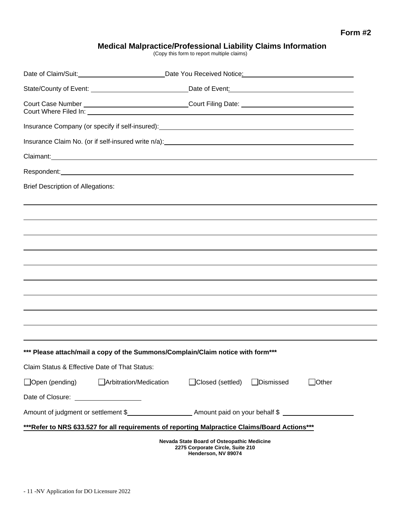# **Medical Malpractice/Professional Liability Claims Information**

(Copy this form to report multiple claims)

|                                               | Date of Claim/Suit: 1992 Claim/Suit: 2008 Claim/Suit: 2008 Claim/Suit: 2008 Claim/Suit: 2008 Claim/Suit: 2008 |                                                                                                              |            |       |  |
|-----------------------------------------------|---------------------------------------------------------------------------------------------------------------|--------------------------------------------------------------------------------------------------------------|------------|-------|--|
|                                               |                                                                                                               |                                                                                                              |            |       |  |
|                                               | Court Case Number _______________________________Court Filing Date: ________________________________          |                                                                                                              |            |       |  |
|                                               |                                                                                                               |                                                                                                              |            |       |  |
|                                               |                                                                                                               |                                                                                                              |            |       |  |
|                                               |                                                                                                               |                                                                                                              |            |       |  |
|                                               |                                                                                                               |                                                                                                              |            |       |  |
| <b>Brief Description of Allegations:</b>      |                                                                                                               |                                                                                                              |            |       |  |
|                                               |                                                                                                               |                                                                                                              |            |       |  |
|                                               |                                                                                                               |                                                                                                              |            |       |  |
|                                               |                                                                                                               |                                                                                                              |            |       |  |
|                                               |                                                                                                               |                                                                                                              |            |       |  |
|                                               |                                                                                                               |                                                                                                              |            |       |  |
|                                               |                                                                                                               |                                                                                                              |            |       |  |
|                                               |                                                                                                               |                                                                                                              |            |       |  |
|                                               |                                                                                                               |                                                                                                              |            |       |  |
|                                               |                                                                                                               |                                                                                                              |            |       |  |
|                                               | *** Please attach/mail a copy of the Summons/Complain/Claim notice with form***                               |                                                                                                              |            |       |  |
| Claim Status & Effective Date of That Status: |                                                                                                               |                                                                                                              |            |       |  |
| $\Box$ Open (pending)                         | Arbitration/Medication                                                                                        | □Closed (settled)                                                                                            | □Dismissed | Other |  |
|                                               |                                                                                                               |                                                                                                              |            |       |  |
|                                               |                                                                                                               |                                                                                                              |            |       |  |
|                                               | ***Refer to NRS 633.527 for all requirements of reporting Malpractice Claims/Board Actions***                 |                                                                                                              |            |       |  |
|                                               |                                                                                                               | <b>Nevada State Board of Osteopathic Medicine</b><br>2275 Corporate Circle, Suite 210<br>Henderson, NV 89074 |            |       |  |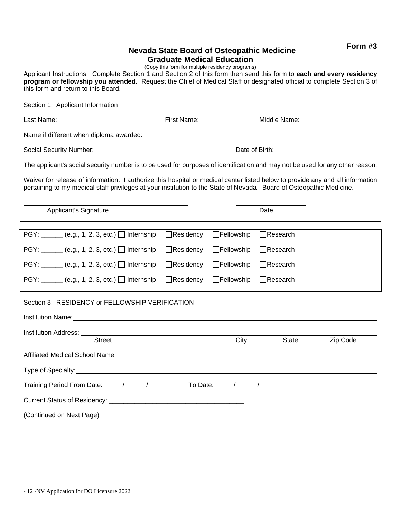**Form #3**

### **Nevada State Board of Osteopathic Medicine Graduate Medical Education**

(Copy this form for multiple residency programs)

Applicant Instructions: Complete Section 1 and Section 2 of this form then send this form to **each and every residency program or fellowship you attended**. Request the Chief of Medical Staff or designated official to complete Section 3 of this form and return to this Board.

| Section 1: Applicant Information                                                                                                                                                                                                                        |                  |                   |                 |                                       |  |
|---------------------------------------------------------------------------------------------------------------------------------------------------------------------------------------------------------------------------------------------------------|------------------|-------------------|-----------------|---------------------------------------|--|
| Last Name: <u>Name:</u> Name: Name: Name: Name: Name: Niddle Name: Niddle Name: Name: Name: Name: Name: Name: Name: Name                                                                                                                                |                  |                   |                 |                                       |  |
| Name if different when diploma awarded: example and are all the state of the state of the state of the state of the state of the state of the state of the state of the state of the state of the state of the state of the st                          |                  |                   |                 |                                       |  |
| Social Security Number:<br><u>Social Security Number:</u>                                                                                                                                                                                               |                  |                   |                 | Date of Birth: The Contract of Birth: |  |
| The applicant's social security number is to be used for purposes of identification and may not be used for any other reason.                                                                                                                           |                  |                   |                 |                                       |  |
| Waiver for release of information: I authorize this hospital or medical center listed below to provide any and all information<br>pertaining to my medical staff privileges at your institution to the State of Nevada - Board of Osteopathic Medicine. |                  |                   |                 |                                       |  |
| Applicant's Signature                                                                                                                                                                                                                                   |                  |                   | Date            |                                       |  |
| PGY: $(e.g., 1, 2, 3, etc.)$ Internship                                                                                                                                                                                                                 | $\Box$ Residency | $\Box$ Fellowship | $\Box$ Research |                                       |  |
| PGY: ______ (e.g., 1, 2, 3, etc.) □ Internship                                                                                                                                                                                                          | $\Box$ Residency | $\Box$ Fellowship | $\Box$ Research |                                       |  |
| $PGY:$ (e.g., 1, 2, 3, etc.) Internship                                                                                                                                                                                                                 | $\Box$ Residency | $\Box$ Fellowship | $\Box$ Research |                                       |  |
| PGY: $(e.g., 1, 2, 3, etc.)$ Internship                                                                                                                                                                                                                 | $\Box$ Residency | Fellowship        | $\Box$ Research |                                       |  |
| Section 3: RESIDENCY or FELLOWSHIP VERIFICATION                                                                                                                                                                                                         |                  |                   |                 |                                       |  |
| Institution Name: Name and Secretary Annual Secretary Annual Secretary Annual Secretary Annual Secretary Annual Secretary Annual Secretary Annual Secretary Annual Secretary Annual Secretary Annual Secretary Annual Secretar                          |                  |                   |                 |                                       |  |
| Institution Address: University of the Contract of the Contract of the Contract of the Contract of the Contract of the Contract of the Contract of the Contract of the Contract of the Contract of the Contract of the Contrac<br><b>Street</b>         |                  | City              | State           | Zip Code                              |  |
| Affiliated Medical School Name: Name and Affiliated The Control of the Control of the Control of the Control of the Control of the Control of the Control of the Control of the Control of the Control of the Control of the C                          |                  |                   |                 |                                       |  |
| Type of Specialty: <u>contained a set of the set of the set of the set of the set of the set of the set of the set of the set of the set of the set of the set of the set of the set of the set of the set of the set of the set</u>                    |                  |                   |                 |                                       |  |
| Training Period From Date: _____/_______/_____________ To Date: _____/_______/_________                                                                                                                                                                 |                  |                   |                 |                                       |  |
|                                                                                                                                                                                                                                                         |                  |                   |                 |                                       |  |
| (Continued on Next Page)                                                                                                                                                                                                                                |                  |                   |                 |                                       |  |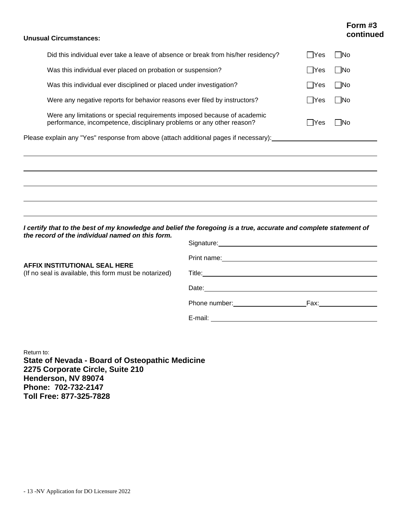## **Form #3 continued**

#### **Unusual Circumstances:**

| Please explain any "Yes" response from above (attach additional pages if necessary):                                                              |            |       |
|---------------------------------------------------------------------------------------------------------------------------------------------------|------------|-------|
| Were any limitations or special requirements imposed because of academic<br>performance, incompetence, disciplinary problems or any other reason? | $\Box$ Yes | - INo |
| Were any negative reports for behavior reasons ever filed by instructors?                                                                         | l lYes     | □No   |
| Was this individual ever disciplined or placed under investigation?                                                                               | Yes        | . No  |
| Was this individual ever placed on probation or suspension?                                                                                       | Yes        | - INo |
| Did this individual ever take a leave of absence or break from his/her residency?                                                                 |            | -lNo  |

*I certify that to the best of my knowledge and belief the foregoing is a true, accurate and complete statement of the record of the individual named on this form.* Signature:

| AFFIX INSTITUTIONAL SEAL HERE<br>(If no seal is available, this form must be notarized) |                                                                                                                                                                                                                                |                                                                                                                |
|-----------------------------------------------------------------------------------------|--------------------------------------------------------------------------------------------------------------------------------------------------------------------------------------------------------------------------------|----------------------------------------------------------------------------------------------------------------|
|                                                                                         |                                                                                                                                                                                                                                |                                                                                                                |
|                                                                                         |                                                                                                                                                                                                                                |                                                                                                                |
|                                                                                         | Phone number: and the state of the state of the state of the state of the state of the state of the state of the state of the state of the state of the state of the state of the state of the state of the state of the state | Fax: where the contract of the contract of the contract of the contract of the contract of the contract of the |
|                                                                                         | E-mail: E-mail: All and the second state of the second state of the second state of the second state of the second state of the second state of the second state of the second state of the second state of the second state o |                                                                                                                |

Return to: **State of Nevada - Board of Osteopathic Medicine 2275 Corporate Circle, Suite 210 Henderson, NV 89074 Phone: 702-732-2147 Toll Free: 877-325-7828**